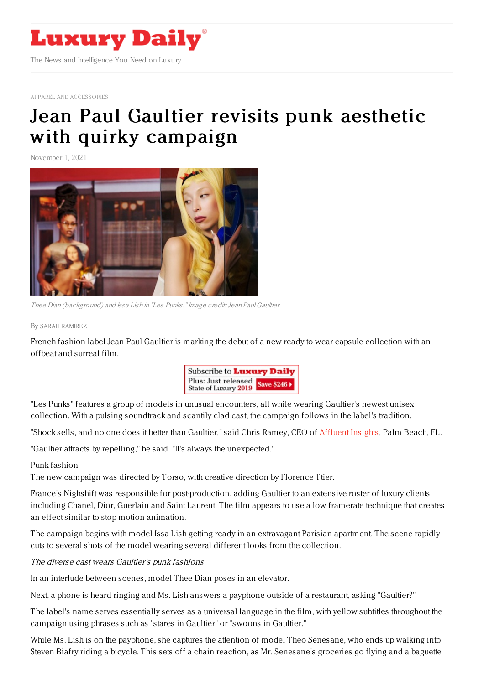

APPAREL AND [ACCESSORIES](https://www.luxurydaily.com/category/sectors/apparel-and-accessories/)

# Jean Paul Gaultier revisits punk aesthetic with quirky [campaign](https://www.luxurydaily.com/jean-paul-gaultier-les-punks-rtw/)

November 1, 2021



Thee Dian (background) and Issa Lish in "Les Punks." Image credit: Jean Paul Gaultier

#### By SARAH [RAMIREZ](file:///author/sarah-ramirez)

French fashion label Jean Paul Gaultier is marking the debut of a new ready-to-wear capsule collection with an offbeat and surreal film.



"Les Punks" features a group of models in unusual encounters, all while wearing Gaultier's newest unisex collection. With a pulsing soundtrack and scantily clad cast, the campaign follows in the label's tradition.

"Shock sells, and no one does it better than Gaultier," said Chris Ramey, CEO of [Affluent](http://designcenterinternational.org/) Insights, Palm Beach, FL.

"Gaultier attracts by repelling," he said. "It's always the unexpected."

### Punk fashion

The new campaign was directed by Torso, with creative direction by Florence Ttier.

France's Nighshift was responsible for post-production, adding Gaultier to an extensive roster of luxury clients including Chanel, Dior, Guerlain and Saint Laurent. The film appears to use a low framerate technique that creates an effect similar to stop motion animation.

The campaign begins with model Issa Lish getting ready in an extravagant Parisian apartment. The scene rapidly cuts to several shots of the model wearing several different looks from the collection.

### The diverse cast wears Gaultier's punk fashions

In an interlude between scenes, model Thee Dian poses in an elevator.

Next, a phone is heard ringing and Ms. Lish answers a payphone outside of a restaurant, asking "Gaultier?"

The label's name serves essentially serves as a universal language in the film, with yellow subtitles throughout the campaign using phrases such as "stares in Gaultier" or "swoons in Gaultier."

While Ms. Lish is on the payphone, she captures the attention of model Theo Senesane, who ends up walking into Steven Biafry riding a bicycle. This sets off a chain reaction, as Mr. Senesane's groceries go flying and a baguette